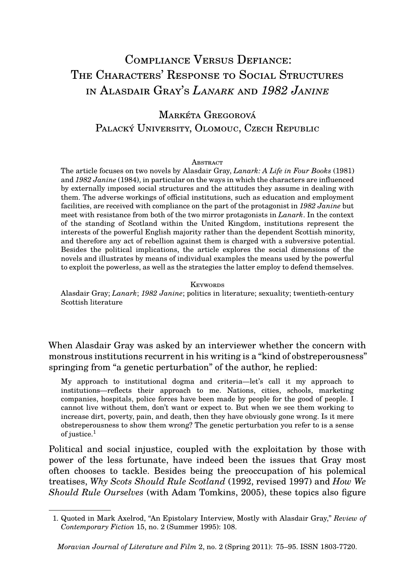# COMPLIANCE VERSUS DEFIANCE: The Characters' Response to Social Structures in Alasdair Gray's *Lanark* and *1982 Janine*

## Markéta Gregorová PALACKÝ UNIVERSITY, OLOMOUC, CZECH REPUBLIC

#### **ABSTRACT**

The article focuses on two novels by Alasdair Gray, *Lanark: A Life in Four Books* (1981) and *1982 Janine* (1984), in particular on the ways in which the characters are influenced by externally imposed social structures and the attitudes they assume in dealing with them. The adverse workings of official institutions, such as education and employment facilities, are received with compliance on the part of the protagonist in *1982 Janine* but meet with resistance from both of the two mirror protagonists in *Lanark*. In the context of the standing of Scotland within the United Kingdom, institutions represent the interests of the powerful English majority rather than the dependent Scottish minority, and therefore any act of rebellion against them is charged with a subversive potential. Besides the political implications, the article explores the social dimensions of the novels and illustrates by means of individual examples the means used by the powerful to exploit the powerless, as well as the strategies the latter employ to defend themselves.

#### **KEYWORDS**

Alasdair Gray; *Lanark*; *1982 Janine*; politics in literature; sexuality; twentieth-century Scottish literature

When Alasdair Gray was asked by an interviewer whether the concern with monstrous institutions recurrent in his writing is a "kind of obstreperousness" springing from "a genetic perturbation" of the author, he replied:

My approach to institutional dogma and criteria—let's call it my approach to institutions—reflects their approach to me. Nations, cities, schools, marketing companies, hospitals, police forces have been made by people for the good of people. I cannot live without them, don't want or expect to. But when we see them working to increase dirt, poverty, pain, and death, then they have obviously gone wrong. Is it mere obstreperousness to show them wrong? The genetic perturbation you refer to is a sense of justice.<sup>1</sup>

Political and social injustice, coupled with the exploitation by those with power of the less fortunate, have indeed been the issues that Gray most often chooses to tackle. Besides being the preoccupation of his polemical treatises, *Why Scots Should Rule Scotland* (1992, revised 1997) and *How We Should Rule Ourselves* (with Adam Tomkins, 2005), these topics also figure

<sup>1.</sup> Quoted in Mark Axelrod, "An Epistolary Interview, Mostly with Alasdair Gray," *Review of Contemporary Fiction* 15, no. 2 (Summer 1995): 108.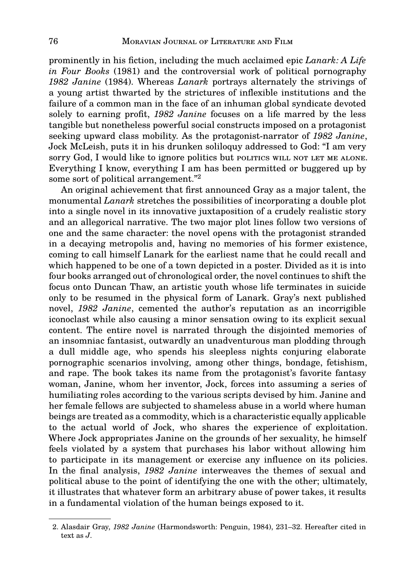prominently in his fiction, including the much acclaimed epic *Lanark: A Life in Four Books* (1981) and the controversial work of political pornography *1982 Janine* (1984). Whereas *Lanark* portrays alternately the strivings of a young artist thwarted by the strictures of inflexible institutions and the failure of a common man in the face of an inhuman global syndicate devoted solely to earning profit, *1982 Janine* focuses on a life marred by the less tangible but nonetheless powerful social constructs imposed on a protagonist seeking upward class mobility. As the protagonist-narrator of *1982 Janine*, Jock McLeish, puts it in his drunken soliloquy addressed to God: "I am very sorry God, I would like to ignore politics but politics will not let me alone. Everything I know, everything I am has been permitted or buggered up by some sort of political arrangement."<sup>2</sup>

An original achievement that first announced Gray as a major talent, the monumental *Lanark* stretches the possibilities of incorporating a double plot into a single novel in its innovative juxtaposition of a crudely realistic story and an allegorical narrative. The two major plot lines follow two versions of one and the same character: the novel opens with the protagonist stranded in a decaying metropolis and, having no memories of his former existence, coming to call himself Lanark for the earliest name that he could recall and which happened to be one of a town depicted in a poster. Divided as it is into four books arranged out of chronological order, the novel continues to shift the focus onto Duncan Thaw, an artistic youth whose life terminates in suicide only to be resumed in the physical form of Lanark. Gray's next published novel, *1982 Janine*, cemented the author's reputation as an incorrigible iconoclast while also causing a minor sensation owing to its explicit sexual content. The entire novel is narrated through the disjointed memories of an insomniac fantasist, outwardly an unadventurous man plodding through a dull middle age, who spends his sleepless nights conjuring elaborate pornographic scenarios involving, among other things, bondage, fetishism, and rape. The book takes its name from the protagonist's favorite fantasy woman, Janine, whom her inventor, Jock, forces into assuming a series of humiliating roles according to the various scripts devised by him. Janine and her female fellows are subjected to shameless abuse in a world where human beings are treated as a commodity, which is a characteristic equally applicable to the actual world of Jock, who shares the experience of exploitation. Where Jock appropriates Janine on the grounds of her sexuality, he himself feels violated by a system that purchases his labor without allowing him to participate in its management or exercise any influence on its policies. In the final analysis, *1982 Janine* interweaves the themes of sexual and political abuse to the point of identifying the one with the other; ultimately, it illustrates that whatever form an arbitrary abuse of power takes, it results in a fundamental violation of the human beings exposed to it.

<sup>2.</sup> Alasdair Gray, *1982 Janine* (Harmondsworth: Penguin, 1984), 231–32. Hereafter cited in text as *J*.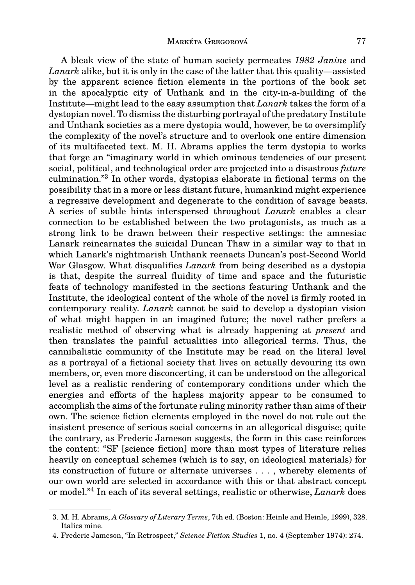A bleak view of the state of human society permeates *1982 Janine* and *Lanark* alike, but it is only in the case of the latter that this quality—assisted by the apparent science fiction elements in the portions of the book set in the apocalyptic city of Unthank and in the city-in-a-building of the Institute—might lead to the easy assumption that *Lanark* takes the form of a dystopian novel. To dismiss the disturbing portrayal of the predatory Institute and Unthank societies as a mere dystopia would, however, be to oversimplify the complexity of the novel's structure and to overlook one entire dimension of its multifaceted text. M. H. Abrams applies the term dystopia to works that forge an "imaginary world in which ominous tendencies of our present social, political, and technological order are projected into a disastrous *future* culmination."<sup>3</sup> In other words, dystopias elaborate in fictional terms on the possibility that in a more or less distant future, humankind might experience a regressive development and degenerate to the condition of savage beasts. A series of subtle hints interspersed throughout *Lanark* enables a clear connection to be established between the two protagonists, as much as a strong link to be drawn between their respective settings: the amnesiac Lanark reincarnates the suicidal Duncan Thaw in a similar way to that in which Lanark's nightmarish Unthank reenacts Duncan's post-Second World War Glasgow. What disqualifies *Lanark* from being described as a dystopia is that, despite the surreal fluidity of time and space and the futuristic feats of technology manifested in the sections featuring Unthank and the Institute, the ideological content of the whole of the novel is firmly rooted in contemporary reality. *Lanark* cannot be said to develop a dystopian vision of what might happen in an imagined future; the novel rather prefers a realistic method of observing what is already happening at *present* and then translates the painful actualities into allegorical terms. Thus, the cannibalistic community of the Institute may be read on the literal level as a portrayal of a fictional society that lives on actually devouring its own members, or, even more disconcerting, it can be understood on the allegorical level as a realistic rendering of contemporary conditions under which the energies and efforts of the hapless majority appear to be consumed to accomplish the aims of the fortunate ruling minority rather than aims of their own. The science fiction elements employed in the novel do not rule out the insistent presence of serious social concerns in an allegorical disguise; quite the contrary, as Frederic Jameson suggests, the form in this case reinforces the content: "SF [science fiction] more than most types of literature relies heavily on conceptual schemes (which is to say, on ideological materials) for its construction of future or alternate universes . . . , whereby elements of our own world are selected in accordance with this or that abstract concept or model."<sup>4</sup> In each of its several settings, realistic or otherwise, *Lanark* does

<sup>3.</sup> M. H. Abrams, *A Glossary of Literary Terms*, 7th ed. (Boston: Heinle and Heinle, 1999), 328. Italics mine.

<sup>4.</sup> Frederic Jameson, "In Retrospect," *Science Fiction Studies* 1, no. 4 (September 1974): 274.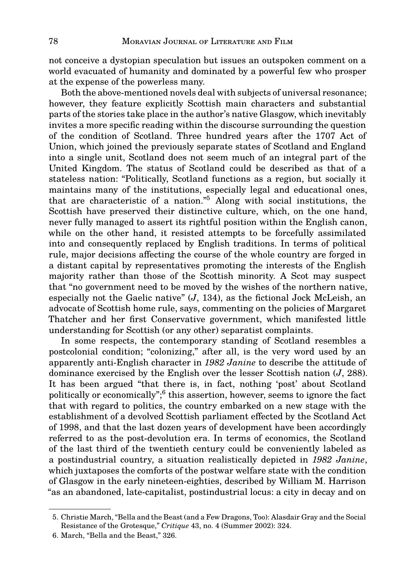not conceive a dystopian speculation but issues an outspoken comment on a world evacuated of humanity and dominated by a powerful few who prosper at the expense of the powerless many.

Both the above-mentioned novels deal with subjects of universal resonance; however, they feature explicitly Scottish main characters and substantial parts of the stories take place in the author's native Glasgow, which inevitably invites a more specific reading within the discourse surrounding the question of the condition of Scotland. Three hundred years after the 1707 Act of Union, which joined the previously separate states of Scotland and England into a single unit, Scotland does not seem much of an integral part of the United Kingdom. The status of Scotland could be described as that of a stateless nation: "Politically, Scotland functions as a region, but socially it maintains many of the institutions, especially legal and educational ones, that are characteristic of a nation."<sup>5</sup> Along with social institutions, the Scottish have preserved their distinctive culture, which, on the one hand, never fully managed to assert its rightful position within the English canon, while on the other hand, it resisted attempts to be forcefully assimilated into and consequently replaced by English traditions. In terms of political rule, major decisions affecting the course of the whole country are forged in a distant capital by representatives promoting the interests of the English majority rather than those of the Scottish minority. A Scot may suspect that "no government need to be moved by the wishes of the northern native, especially not the Gaelic native" (*J*, 134), as the fictional Jock McLeish, an advocate of Scottish home rule, says, commenting on the policies of Margaret Thatcher and her first Conservative government, which manifested little understanding for Scottish (or any other) separatist complaints.

In some respects, the contemporary standing of Scotland resembles a postcolonial condition; "colonizing," after all, is the very word used by an apparently anti-English character in *1982 Janine* to describe the attitude of dominance exercised by the English over the lesser Scottish nation (*J*, 288). It has been argued "that there is, in fact, nothing 'post' about Scotland politically or economically"; $^6$  this assertion, however, seems to ignore the fact that with regard to politics, the country embarked on a new stage with the establishment of a devolved Scottish parliament effected by the Scotland Act of 1998, and that the last dozen years of development have been accordingly referred to as the post-devolution era. In terms of economics, the Scotland of the last third of the twentieth century could be conveniently labeled as a postindustrial country, a situation realistically depicted in *1982 Janine*, which juxtaposes the comforts of the postwar welfare state with the condition of Glasgow in the early nineteen-eighties, described by William M. Harrison "as an abandoned, late-capitalist, postindustrial locus: a city in decay and on

<sup>5.</sup> Christie March, "Bella and the Beast (and a Few Dragons, Too): Alasdair Gray and the Social Resistance of the Grotesque," *Critique* 43, no. 4 (Summer 2002): 324.

<sup>6.</sup> March, "Bella and the Beast," 326.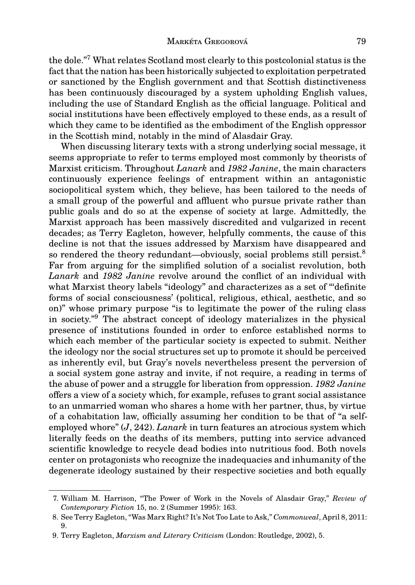the dole."<sup>7</sup> What relates Scotland most clearly to this postcolonial status is the fact that the nation has been historically subjected to exploitation perpetrated or sanctioned by the English government and that Scottish distinctiveness has been continuously discouraged by a system upholding English values, including the use of Standard English as the official language. Political and social institutions have been effectively employed to these ends, as a result of which they came to be identified as the embodiment of the English oppressor in the Scottish mind, notably in the mind of Alasdair Gray.

When discussing literary texts with a strong underlying social message, it seems appropriate to refer to terms employed most commonly by theorists of Marxist criticism. Throughout *Lanark* and *1982 Janine*, the main characters continuously experience feelings of entrapment within an antagonistic sociopolitical system which, they believe, has been tailored to the needs of a small group of the powerful and affluent who pursue private rather than public goals and do so at the expense of society at large. Admittedly, the Marxist approach has been massively discredited and vulgarized in recent decades; as Terry Eagleton, however, helpfully comments, the cause of this decline is not that the issues addressed by Marxism have disappeared and so rendered the theory redundant—obviously, social problems still persist.<sup>8</sup> Far from arguing for the simplified solution of a socialist revolution, both *Lanark* and *1982 Janine* revolve around the conflict of an individual with what Marxist theory labels "ideology" and characterizes as a set of "'definite forms of social consciousness' (political, religious, ethical, aesthetic, and so on)" whose primary purpose "is to legitimate the power of the ruling class in society."<sup>9</sup> The abstract concept of ideology materializes in the physical presence of institutions founded in order to enforce established norms to which each member of the particular society is expected to submit. Neither the ideology nor the social structures set up to promote it should be perceived as inherently evil, but Gray's novels nevertheless present the perversion of a social system gone astray and invite, if not require, a reading in terms of the abuse of power and a struggle for liberation from oppression. *1982 Janine* offers a view of a society which, for example, refuses to grant social assistance to an unmarried woman who shares a home with her partner, thus, by virtue of a cohabitation law, officially assuming her condition to be that of "a selfemployed whore" (*J*, 242). *Lanark* in turn features an atrocious system which literally feeds on the deaths of its members, putting into service advanced scientific knowledge to recycle dead bodies into nutritious food. Both novels center on protagonists who recognize the inadequacies and inhumanity of the degenerate ideology sustained by their respective societies and both equally

<sup>7.</sup> William M. Harrison, "The Power of Work in the Novels of Alasdair Gray," *Review of Contemporary Fiction* 15, no. 2 (Summer 1995): 163.

<sup>8.</sup> See Terry Eagleton, "Was Marx Right? It's Not Too Late to Ask," *Commonweal*, April 8, 2011: 9.

<sup>9.</sup> Terry Eagleton, *Marxism and Literary Criticism* (London: Routledge, 2002), 5.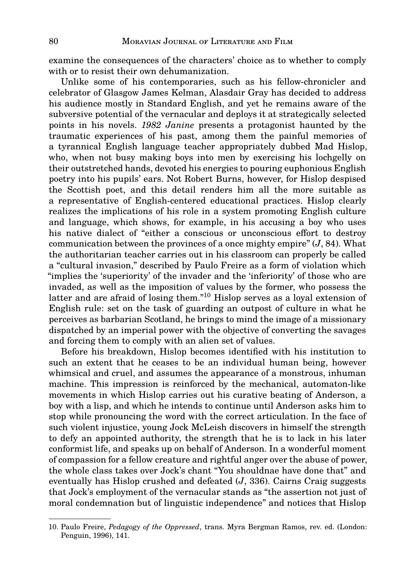examine the consequences of the characters' choice as to whether to comply with or to resist their own dehumanization.

Unlike some of his contemporaries, such as his fellow-chronicler and celebrator of Glasgow James Kelman, Alasdair Gray has decided to address his audience mostly in Standard English, and yet he remains aware of the subversive potential of the vernacular and deploys it at strategically selected points in his novels. *1982 Janine* presents a protagonist haunted by the traumatic experiences of his past, among them the painful memories of a tyrannical English language teacher appropriately dubbed Mad Hislop, who, when not busy making boys into men by exercising his lochgelly on their outstretched hands, devoted his energies to pouring euphonious English poetry into his pupils' ears. Not Robert Burns, however, for Hislop despised the Scottish poet, and this detail renders him all the more suitable as a representative of English-centered educational practices. Hislop clearly realizes the implications of his role in a system promoting English culture and language, which shows, for example, in his accusing a boy who uses his native dialect of "either a conscious or unconscious effort to destroy communication between the provinces of a once mighty empire" (*J*, 84). What the authoritarian teacher carries out in his classroom can properly be called a "cultural invasion," described by Paulo Freire as a form of violation which "implies the 'superiority' of the invader and the 'inferiority' of those who are invaded, as well as the imposition of values by the former, who possess the latter and are afraid of losing them."<sup>10</sup> Hislop serves as a loyal extension of English rule: set on the task of guarding an outpost of culture in what he perceives as barbarian Scotland, he brings to mind the image of a missionary dispatched by an imperial power with the objective of converting the savages and forcing them to comply with an alien set of values.

Before his breakdown, Hislop becomes identified with his institution to such an extent that he ceases to be an individual human being, however whimsical and cruel, and assumes the appearance of a monstrous, inhuman machine. This impression is reinforced by the mechanical, automaton-like movements in which Hislop carries out his curative beating of Anderson, a boy with a lisp, and which he intends to continue until Anderson asks him to stop while pronouncing the word with the correct articulation. In the face of such violent injustice, young Jock McLeish discovers in himself the strength to defy an appointed authority, the strength that he is to lack in his later conformist life, and speaks up on behalf of Anderson. In a wonderful moment of compassion for a fellow creature and rightful anger over the abuse of power, the whole class takes over Jock's chant "You shouldnae have done that" and eventually has Hislop crushed and defeated (*J*, 336). Cairns Craig suggests that Jock's employment of the vernacular stands as "the assertion not just of moral condemnation but of linguistic independence" and notices that Hislop

<sup>10.</sup> Paulo Freire, *Pedagogy of the Oppressed*, trans. Myra Bergman Ramos, rev. ed. (London: Penguin, 1996), 141.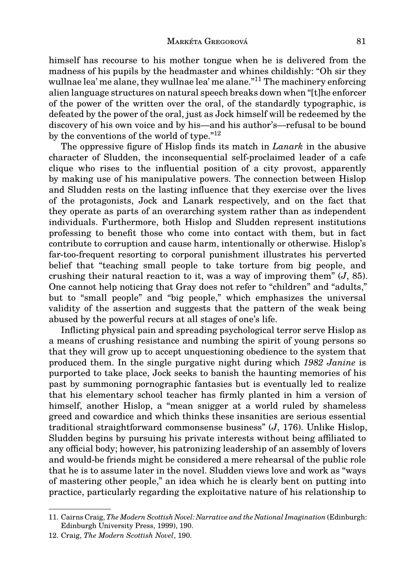himself has recourse to his mother tongue when he is delivered from the madness of his pupils by the headmaster and whines childishly: "Oh sir they wullnae lea' me alane, they wullnae lea' me alane."<sup>11</sup> The machinery enforcing alien language structures on natural speech breaks down when "[t]he enforcer of the power of the written over the oral, of the standardly typographic, is defeated by the power of the oral, just as Jock himself will be redeemed by the discovery of his own voice and by his—and his author's—refusal to be bound by the conventions of the world of type."<sup>12</sup>

The oppressive figure of Hislop finds its match in *Lanark* in the abusive character of Sludden, the inconsequential self-proclaimed leader of a cafe clique who rises to the influential position of a city provost, apparently by making use of his manipulative powers. The connection between Hislop and Sludden rests on the lasting influence that they exercise over the lives of the protagonists, Jock and Lanark respectively, and on the fact that they operate as parts of an overarching system rather than as independent individuals. Furthermore, both Hislop and Sludden represent institutions professing to benefit those who come into contact with them, but in fact contribute to corruption and cause harm, intentionally or otherwise. Hislop's far-too-frequent resorting to corporal punishment illustrates his perverted belief that "teaching small people to take torture from big people, and crushing their natural reaction to it, was a way of improving them" (*J*, 85). One cannot help noticing that Gray does not refer to "children" and "adults," but to "small people" and "big people," which emphasizes the universal validity of the assertion and suggests that the pattern of the weak being abused by the powerful recurs at all stages of one's life.

Inflicting physical pain and spreading psychological terror serve Hislop as a means of crushing resistance and numbing the spirit of young persons so that they will grow up to accept unquestioning obedience to the system that produced them. In the single purgative night during which *1982 Janine* is purported to take place, Jock seeks to banish the haunting memories of his past by summoning pornographic fantasies but is eventually led to realize that his elementary school teacher has firmly planted in him a version of himself, another Hislop, a "mean snigger at a world ruled by shameless greed and cowardice and which thinks these insanities are serious essential traditional straightforward commonsense business" (*J*, 176). Unlike Hislop, Sludden begins by pursuing his private interests without being affiliated to any official body; however, his patronizing leadership of an assembly of lovers and would-be friends might be considered a mere rehearsal of the public role that he is to assume later in the novel. Sludden views love and work as "ways of mastering other people," an idea which he is clearly bent on putting into practice, particularly regarding the exploitative nature of his relationship to

<sup>11.</sup> Cairns Craig, *The Modern Scottish Novel: Narrative and the National Imagination* (Edinburgh: Edinburgh University Press, 1999), 190.

<sup>12.</sup> Craig, *The Modern Scottish Novel*, 190.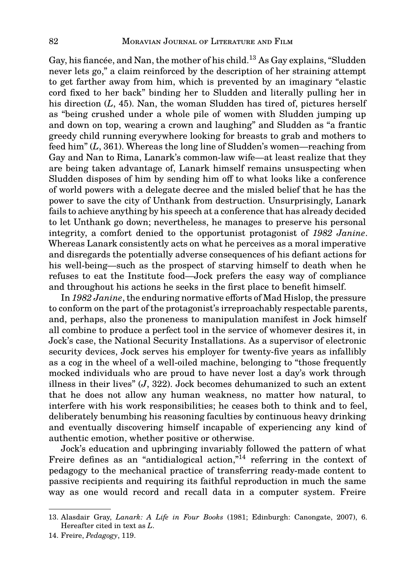Gay, his fiancée, and Nan, the mother of his child.<sup>13</sup> As Gay explains, "Sludden never lets go," a claim reinforced by the description of her straining attempt to get farther away from him, which is prevented by an imaginary "elastic cord fixed to her back" binding her to Sludden and literally pulling her in his direction (*L*, 45). Nan, the woman Sludden has tired of, pictures herself as "being crushed under a whole pile of women with Sludden jumping up and down on top, wearing a crown and laughing" and Sludden as "a frantic greedy child running everywhere looking for breasts to grab and mothers to feed him" (*L*, 361). Whereas the long line of Sludden's women—reaching from Gay and Nan to Rima, Lanark's common-law wife—at least realize that they are being taken advantage of, Lanark himself remains unsuspecting when Sludden disposes of him by sending him off to what looks like a conference of world powers with a delegate decree and the misled belief that he has the power to save the city of Unthank from destruction. Unsurprisingly, Lanark fails to achieve anything by his speech at a conference that has already decided to let Unthank go down; nevertheless, he manages to preserve his personal integrity, a comfort denied to the opportunist protagonist of *1982 Janine*. Whereas Lanark consistently acts on what he perceives as a moral imperative and disregards the potentially adverse consequences of his defiant actions for his well-being—such as the prospect of starving himself to death when he refuses to eat the Institute food—Jock prefers the easy way of compliance and throughout his actions he seeks in the first place to benefit himself.

In *1982 Janine*, the enduring normative efforts of Mad Hislop, the pressure to conform on the part of the protagonist's irreproachably respectable parents, and, perhaps, also the proneness to manipulation manifest in Jock himself all combine to produce a perfect tool in the service of whomever desires it, in Jock's case, the National Security Installations. As a supervisor of electronic security devices, Jock serves his employer for twenty-five years as infallibly as a cog in the wheel of a well-oiled machine, belonging to "those frequently mocked individuals who are proud to have never lost a day's work through illness in their lives" (*J*, 322). Jock becomes dehumanized to such an extent that he does not allow any human weakness, no matter how natural, to interfere with his work responsibilities; he ceases both to think and to feel, deliberately benumbing his reasoning faculties by continuous heavy drinking and eventually discovering himself incapable of experiencing any kind of authentic emotion, whether positive or otherwise.

Jock's education and upbringing invariably followed the pattern of what Freire defines as an "antidialogical action,"<sup>14</sup> referring in the context of pedagogy to the mechanical practice of transferring ready-made content to passive recipients and requiring its faithful reproduction in much the same way as one would record and recall data in a computer system. Freire

<sup>13.</sup> Alasdair Gray, *Lanark: A Life in Four Books* (1981; Edinburgh: Canongate, 2007), 6. Hereafter cited in text as *L*.

<sup>14.</sup> Freire, *Pedagogy*, 119.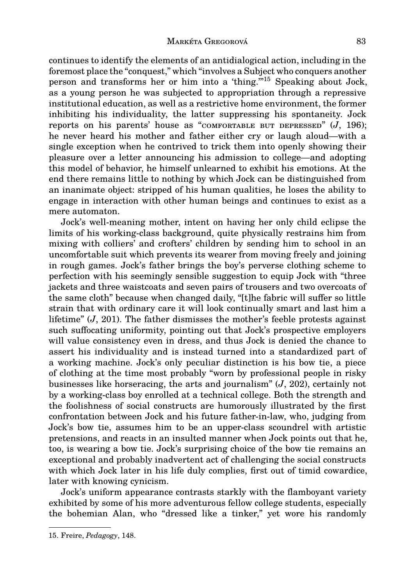continues to identify the elements of an antidialogical action, including in the foremost place the "conquest," which "involves a Subject who conquers another person and transforms her or him into a 'thing.'"<sup>15</sup> Speaking about Jock, as a young person he was subjected to appropriation through a repressive institutional education, as well as a restrictive home environment, the former inhibiting his individuality, the latter suppressing his spontaneity. Jock reports on his parents' house as "comformable but depressed"  $(J, 196)$ ; he never heard his mother and father either cry or laugh aloud—with a single exception when he contrived to trick them into openly showing their pleasure over a letter announcing his admission to college—and adopting this model of behavior, he himself unlearned to exhibit his emotions. At the end there remains little to nothing by which Jock can be distinguished from an inanimate object: stripped of his human qualities, he loses the ability to engage in interaction with other human beings and continues to exist as a mere automaton.

Jock's well-meaning mother, intent on having her only child eclipse the limits of his working-class background, quite physically restrains him from mixing with colliers' and crofters' children by sending him to school in an uncomfortable suit which prevents its wearer from moving freely and joining in rough games. Jock's father brings the boy's perverse clothing scheme to perfection with his seemingly sensible suggestion to equip Jock with "three jackets and three waistcoats and seven pairs of trousers and two overcoats of the same cloth" because when changed daily, "[t]he fabric will suffer so little strain that with ordinary care it will look continually smart and last him a lifetime" (*J*, 201). The father dismisses the mother's feeble protests against such suffocating uniformity, pointing out that Jock's prospective employers will value consistency even in dress, and thus Jock is denied the chance to assert his individuality and is instead turned into a standardized part of a working machine. Jock's only peculiar distinction is his bow tie, a piece of clothing at the time most probably "worn by professional people in risky businesses like horseracing, the arts and journalism" (*J*, 202), certainly not by a working-class boy enrolled at a technical college. Both the strength and the foolishness of social constructs are humorously illustrated by the first confrontation between Jock and his future father-in-law, who, judging from Jock's bow tie, assumes him to be an upper-class scoundrel with artistic pretensions, and reacts in an insulted manner when Jock points out that he, too, is wearing a bow tie. Jock's surprising choice of the bow tie remains an exceptional and probably inadvertent act of challenging the social constructs with which Jock later in his life duly complies, first out of timid cowardice, later with knowing cynicism.

Jock's uniform appearance contrasts starkly with the flamboyant variety exhibited by some of his more adventurous fellow college students, especially the bohemian Alan, who "dressed like a tinker," yet wore his randomly

<sup>15.</sup> Freire, *Pedagogy*, 148.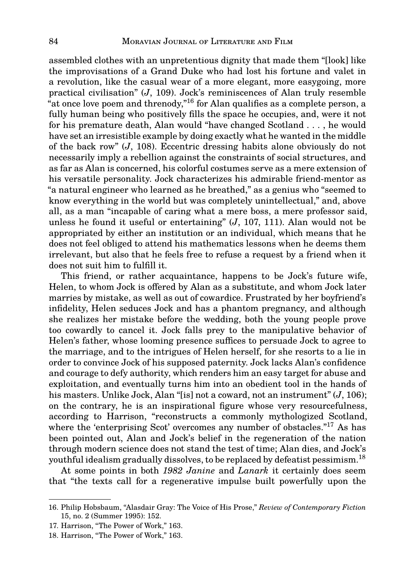assembled clothes with an unpretentious dignity that made them "[look] like the improvisations of a Grand Duke who had lost his fortune and valet in a revolution, like the casual wear of a more elegant, more easygoing, more practical civilisation" (*J*, 109). Jock's reminiscences of Alan truly resemble "at once love poem and threnody,"<sup>16</sup> for Alan qualifies as a complete person, a fully human being who positively fills the space he occupies, and, were it not for his premature death, Alan would "have changed Scotland . . . , he would have set an irresistible example by doing exactly what he wanted in the middle of the back row" (*J*, 108). Eccentric dressing habits alone obviously do not necessarily imply a rebellion against the constraints of social structures, and as far as Alan is concerned, his colorful costumes serve as a mere extension of his versatile personality. Jock characterizes his admirable friend-mentor as "a natural engineer who learned as he breathed," as a genius who "seemed to know everything in the world but was completely unintellectual," and, above all, as a man "incapable of caring what a mere boss, a mere professor said, unless he found it useful or entertaining" (*J*, 107, 111). Alan would not be appropriated by either an institution or an individual, which means that he does not feel obliged to attend his mathematics lessons when he deems them irrelevant, but also that he feels free to refuse a request by a friend when it does not suit him to fulfill it.

This friend, or rather acquaintance, happens to be Jock's future wife, Helen, to whom Jock is offered by Alan as a substitute, and whom Jock later marries by mistake, as well as out of cowardice. Frustrated by her boyfriend's infidelity, Helen seduces Jock and has a phantom pregnancy, and although she realizes her mistake before the wedding, both the young people prove too cowardly to cancel it. Jock falls prey to the manipulative behavior of Helen's father, whose looming presence suffices to persuade Jock to agree to the marriage, and to the intrigues of Helen herself, for she resorts to a lie in order to convince Jock of his supposed paternity. Jock lacks Alan's confidence and courage to defy authority, which renders him an easy target for abuse and exploitation, and eventually turns him into an obedient tool in the hands of his masters. Unlike Jock, Alan "[is] not a coward, not an instrument" (*J*, 106); on the contrary, he is an inspirational figure whose very resourcefulness, according to Harrison, "reconstructs a commonly mythologized Scotland, where the 'enterprising Scot' overcomes any number of obstacles."<sup>17</sup> As has been pointed out, Alan and Jock's belief in the regeneration of the nation through modern science does not stand the test of time; Alan dies, and Jock's youthful idealism gradually dissolves, to be replaced by defeatist pessimism.<sup>18</sup>

At some points in both *1982 Janine* and *Lanark* it certainly does seem that "the texts call for a regenerative impulse built powerfully upon the

<sup>16.</sup> Philip Hobsbaum, "Alasdair Gray: The Voice of His Prose," *Review of Contemporary Fiction* 15, no. 2 (Summer 1995): 152.

<sup>17.</sup> Harrison, "The Power of Work," 163.

<sup>18.</sup> Harrison, "The Power of Work," 163.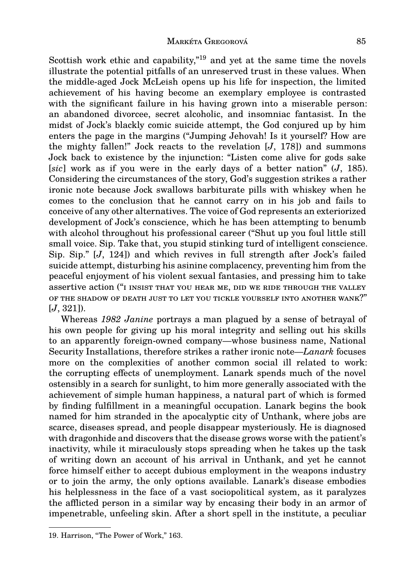Scottish work ethic and capability,"<sup>19</sup> and yet at the same time the novels illustrate the potential pitfalls of an unreserved trust in these values. When the middle-aged Jock McLeish opens up his life for inspection, the limited achievement of his having become an exemplary employee is contrasted with the significant failure in his having grown into a miserable person: an abandoned divorcee, secret alcoholic, and insomniac fantasist. In the midst of Jock's blackly comic suicide attempt, the God conjured up by him enters the page in the margins ("Jumping Jehovah! Is it yourself? How are the mighty fallen!" Jock reacts to the revelation [*J*, 178]) and summons Jock back to existence by the injunction: "Listen come alive for gods sake [*sic*] work as if you were in the early days of a better nation" (*J*, 185). Considering the circumstances of the story, God's suggestion strikes a rather ironic note because Jock swallows barbiturate pills with whiskey when he comes to the conclusion that he cannot carry on in his job and fails to conceive of any other alternatives. The voice of God represents an exteriorized development of Jock's conscience, which he has been attempting to benumb with alcohol throughout his professional career ("Shut up you foul little still small voice. Sip. Take that, you stupid stinking turd of intelligent conscience. Sip. Sip." [*J*, 124]) and which revives in full strength after Jock's failed suicide attempt, disturbing his asinine complacency, preventing him from the peaceful enjoyment of his violent sexual fantasies, and pressing him to take assertive action ("i insist that you hear me, did we ride through the valley of the shadow of death just to let you tickle yourself into another wank?" [*J*, 321]).

Whereas *1982 Janine* portrays a man plagued by a sense of betrayal of his own people for giving up his moral integrity and selling out his skills to an apparently foreign-owned company—whose business name, National Security Installations, therefore strikes a rather ironic note—*Lanark* focuses more on the complexities of another common social ill related to work: the corrupting effects of unemployment. Lanark spends much of the novel ostensibly in a search for sunlight, to him more generally associated with the achievement of simple human happiness, a natural part of which is formed by finding fulfillment in a meaningful occupation. Lanark begins the book named for him stranded in the apocalyptic city of Unthank, where jobs are scarce, diseases spread, and people disappear mysteriously. He is diagnosed with dragonhide and discovers that the disease grows worse with the patient's inactivity, while it miraculously stops spreading when he takes up the task of writing down an account of his arrival in Unthank, and yet he cannot force himself either to accept dubious employment in the weapons industry or to join the army, the only options available. Lanark's disease embodies his helplessness in the face of a vast sociopolitical system, as it paralyzes the afflicted person in a similar way by encasing their body in an armor of impenetrable, unfeeling skin. After a short spell in the institute, a peculiar

<sup>19.</sup> Harrison, "The Power of Work," 163.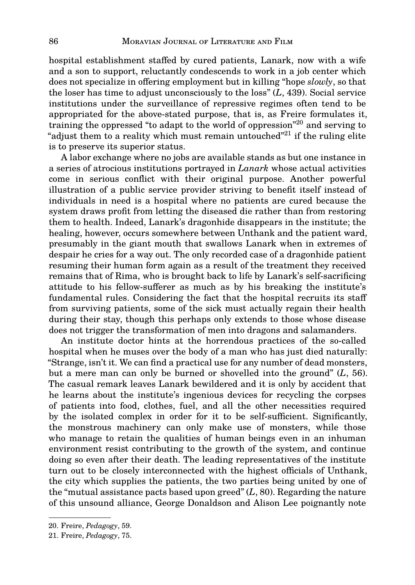hospital establishment staffed by cured patients, Lanark, now with a wife and a son to support, reluctantly condescends to work in a job center which does not specialize in offering employment but in killing "hope *slowly*, so that the loser has time to adjust unconsciously to the loss" (*L*, 439). Social service institutions under the surveillance of repressive regimes often tend to be appropriated for the above-stated purpose, that is, as Freire formulates it, training the oppressed "to adapt to the world of oppression"<sup>20</sup> and serving to "adjust them to a reality which must remain untouched"<sup>21</sup> if the ruling elite is to preserve its superior status.

A labor exchange where no jobs are available stands as but one instance in a series of atrocious institutions portrayed in *Lanark* whose actual activities come in serious conflict with their original purpose. Another powerful illustration of a public service provider striving to benefit itself instead of individuals in need is a hospital where no patients are cured because the system draws profit from letting the diseased die rather than from restoring them to health. Indeed, Lanark's dragonhide disappears in the institute; the healing, however, occurs somewhere between Unthank and the patient ward, presumably in the giant mouth that swallows Lanark when in extremes of despair he cries for a way out. The only recorded case of a dragonhide patient resuming their human form again as a result of the treatment they received remains that of Rima, who is brought back to life by Lanark's self-sacrificing attitude to his fellow-sufferer as much as by his breaking the institute's fundamental rules. Considering the fact that the hospital recruits its staff from surviving patients, some of the sick must actually regain their health during their stay, though this perhaps only extends to those whose disease does not trigger the transformation of men into dragons and salamanders.

An institute doctor hints at the horrendous practices of the so-called hospital when he muses over the body of a man who has just died naturally: "Strange, isn't it. We can find a practical use for any number of dead monsters, but a mere man can only be burned or shovelled into the ground" (*L*, 56). The casual remark leaves Lanark bewildered and it is only by accident that he learns about the institute's ingenious devices for recycling the corpses of patients into food, clothes, fuel, and all the other necessities required by the isolated complex in order for it to be self-sufficient. Significantly, the monstrous machinery can only make use of monsters, while those who manage to retain the qualities of human beings even in an inhuman environment resist contributing to the growth of the system, and continue doing so even after their death. The leading representatives of the institute turn out to be closely interconnected with the highest officials of Unthank, the city which supplies the patients, the two parties being united by one of the "mutual assistance pacts based upon greed" (*L*, 80). Regarding the nature of this unsound alliance, George Donaldson and Alison Lee poignantly note

<sup>20.</sup> Freire, *Pedagogy*, 59.

<sup>21.</sup> Freire, *Pedagogy*, 75.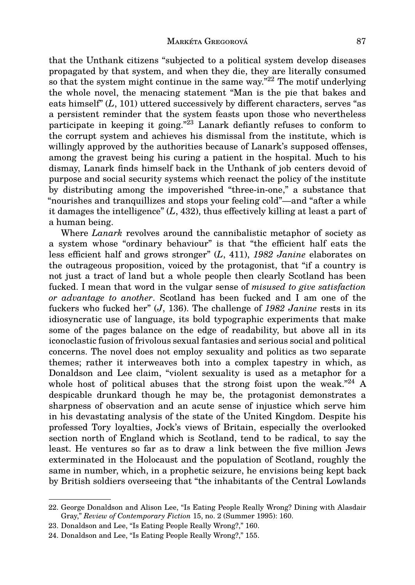that the Unthank citizens "subjected to a political system develop diseases propagated by that system, and when they die, they are literally consumed so that the system might continue in the same way. $^{22}$  The motif underlying the whole novel, the menacing statement "Man is the pie that bakes and eats himself" (*L*, 101) uttered successively by different characters, serves "as a persistent reminder that the system feasts upon those who nevertheless participate in keeping it going."<sup>23</sup> Lanark defiantly refuses to conform to the corrupt system and achieves his dismissal from the institute, which is willingly approved by the authorities because of Lanark's supposed offenses, among the gravest being his curing a patient in the hospital. Much to his dismay, Lanark finds himself back in the Unthank of job centers devoid of purpose and social security systems which reenact the policy of the institute by distributing among the impoverished "three-in-one," a substance that "nourishes and tranquillizes and stops your feeling cold"—and "after a while it damages the intelligence" (*L*, 432), thus effectively killing at least a part of a human being.

Where *Lanark* revolves around the cannibalistic metaphor of society as a system whose "ordinary behaviour" is that "the efficient half eats the less efficient half and grows stronger" (*L*, 411), *1982 Janine* elaborates on the outrageous proposition, voiced by the protagonist, that "if a country is not just a tract of land but a whole people then clearly Scotland has been fucked. I mean that word in the vulgar sense of *misused to give satisfaction or advantage to another*. Scotland has been fucked and I am one of the fuckers who fucked her" (*J*, 136). The challenge of *1982 Janine* rests in its idiosyncratic use of language, its bold typographic experiments that make some of the pages balance on the edge of readability, but above all in its iconoclastic fusion of frivolous sexual fantasies and serious social and political concerns. The novel does not employ sexuality and politics as two separate themes; rather it interweaves both into a complex tapestry in which, as Donaldson and Lee claim, "violent sexuality is used as a metaphor for a whole host of political abuses that the strong foist upon the weak."<sup>24</sup> A despicable drunkard though he may be, the protagonist demonstrates a sharpness of observation and an acute sense of injustice which serve him in his devastating analysis of the state of the United Kingdom. Despite his professed Tory loyalties, Jock's views of Britain, especially the overlooked section north of England which is Scotland, tend to be radical, to say the least. He ventures so far as to draw a link between the five million Jews exterminated in the Holocaust and the population of Scotland, roughly the same in number, which, in a prophetic seizure, he envisions being kept back by British soldiers overseeing that "the inhabitants of the Central Lowlands

<sup>22.</sup> George Donaldson and Alison Lee, "Is Eating People Really Wrong? Dining with Alasdair Gray," *Review of Contemporary Fiction* 15, no. 2 (Summer 1995): 160.

<sup>23.</sup> Donaldson and Lee, "Is Eating People Really Wrong?," 160.

<sup>24.</sup> Donaldson and Lee, "Is Eating People Really Wrong?," 155.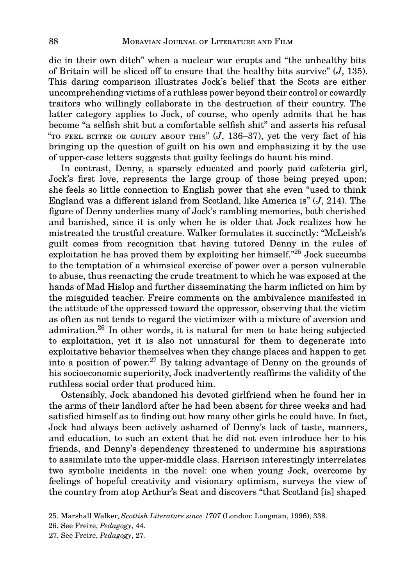die in their own ditch" when a nuclear war erupts and "the unhealthy bits of Britain will be sliced off to ensure that the healthy bits survive" (*J*, 135). This daring comparison illustrates Jock's belief that the Scots are either uncomprehending victims of a ruthless power beyond their control or cowardly traitors who willingly collaborate in the destruction of their country. The latter category applies to Jock, of course, who openly admits that he has become "a selfish shit but a comfortable selfish shit" and asserts his refusal "TO FEEL BITTER OR GUILTY ABOUT THIS"  $(J, 136-37)$ , yet the very fact of his bringing up the question of guilt on his own and emphasizing it by the use of upper-case letters suggests that guilty feelings do haunt his mind.

In contrast, Denny, a sparsely educated and poorly paid cafeteria girl, Jock's first love, represents the large group of those being preyed upon; she feels so little connection to English power that she even "used to think England was a different island from Scotland, like America is" (*J*, 214). The figure of Denny underlies many of Jock's rambling memories, both cherished and banished, since it is only when he is older that Jock realizes how he mistreated the trustful creature. Walker formulates it succinctly: "McLeish's guilt comes from recognition that having tutored Denny in the rules of exploitation he has proved them by exploiting her himself. $25$  Jock succumbs to the temptation of a whimsical exercise of power over a person vulnerable to abuse, thus reenacting the crude treatment to which he was exposed at the hands of Mad Hislop and further disseminating the harm inflicted on him by the misguided teacher. Freire comments on the ambivalence manifested in the attitude of the oppressed toward the oppressor, observing that the victim as often as not tends to regard the victimizer with a mixture of aversion and admiration.<sup>26</sup> In other words, it is natural for men to hate being subjected to exploitation, yet it is also not unnatural for them to degenerate into exploitative behavior themselves when they change places and happen to get into a position of power.<sup>27</sup> By taking advantage of Denny on the grounds of his socioeconomic superiority, Jock inadvertently reaffirms the validity of the ruthless social order that produced him.

Ostensibly, Jock abandoned his devoted girlfriend when he found her in the arms of their landlord after he had been absent for three weeks and had satisfied himself as to finding out how many other girls he could have. In fact, Jock had always been actively ashamed of Denny's lack of taste, manners, and education, to such an extent that he did not even introduce her to his friends, and Denny's dependency threatened to undermine his aspirations to assimilate into the upper-middle class. Harrison interestingly interrelates two symbolic incidents in the novel: one when young Jock, overcome by feelings of hopeful creativity and visionary optimism, surveys the view of the country from atop Arthur's Seat and discovers "that Scotland [is] shaped

<sup>25.</sup> Marshall Walker, *Scottish Literature since 1707* (London: Longman, 1996), 338.

<sup>26.</sup> See Freire, *Pedagogy*, 44.

<sup>27.</sup> See Freire, *Pedagogy*, 27.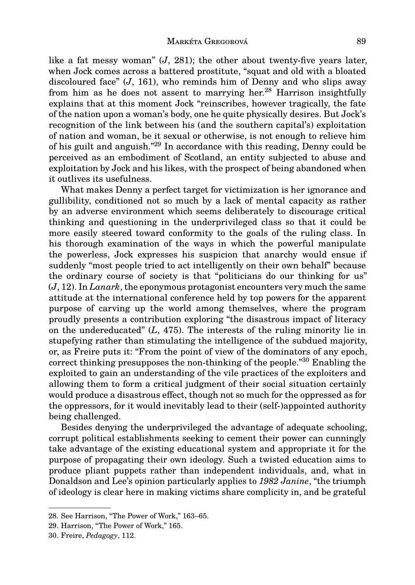like a fat messy woman" (*J*, 281); the other about twenty-five years later, when Jock comes across a battered prostitute, "squat and old with a bloated discoloured face" (*J*, 161), who reminds him of Denny and who slips away from him as he does not assent to marrying her.<sup>28</sup> Harrison insightfully explains that at this moment Jock "reinscribes, however tragically, the fate of the nation upon a woman's body, one he quite physically desires. But Jock's recognition of the link between his (and the southern capital's) exploitation of nation and woman, be it sexual or otherwise, is not enough to relieve him of his guilt and anguish."<sup>29</sup> In accordance with this reading, Denny could be perceived as an embodiment of Scotland, an entity subjected to abuse and exploitation by Jock and his likes, with the prospect of being abandoned when it outlives its usefulness.

What makes Denny a perfect target for victimization is her ignorance and gullibility, conditioned not so much by a lack of mental capacity as rather by an adverse environment which seems deliberately to discourage critical thinking and questioning in the underprivileged class so that it could be more easily steered toward conformity to the goals of the ruling class. In his thorough examination of the ways in which the powerful manipulate the powerless, Jock expresses his suspicion that anarchy would ensue if suddenly "most people tried to act intelligently on their own behalf" because the ordinary course of society is that "politicians do our thinking for us" (*J*, 12). In *Lanark*, the eponymous protagonist encounters very much the same attitude at the international conference held by top powers for the apparent purpose of carving up the world among themselves, where the program proudly presents a contribution exploring "the disastrous impact of literacy on the undereducated" (*L*, 475). The interests of the ruling minority lie in stupefying rather than stimulating the intelligence of the subdued majority, or, as Freire puts it: "From the point of view of the dominators of any epoch, correct thinking presupposes the non-thinking of the people."<sup>30</sup> Enabling the exploited to gain an understanding of the vile practices of the exploiters and allowing them to form a critical judgment of their social situation certainly would produce a disastrous effect, though not so much for the oppressed as for the oppressors, for it would inevitably lead to their (self-)appointed authority being challenged.

Besides denying the underprivileged the advantage of adequate schooling, corrupt political establishments seeking to cement their power can cunningly take advantage of the existing educational system and appropriate it for the purpose of propagating their own ideology. Such a twisted education aims to produce pliant puppets rather than independent individuals, and, what in Donaldson and Lee's opinion particularly applies to *1982 Janine*, "the triumph of ideology is clear here in making victims share complicity in, and be grateful

<sup>28.</sup> See Harrison, "The Power of Work," 163–65.

<sup>29.</sup> Harrison, "The Power of Work," 165.

<sup>30.</sup> Freire, *Pedagogy*, 112.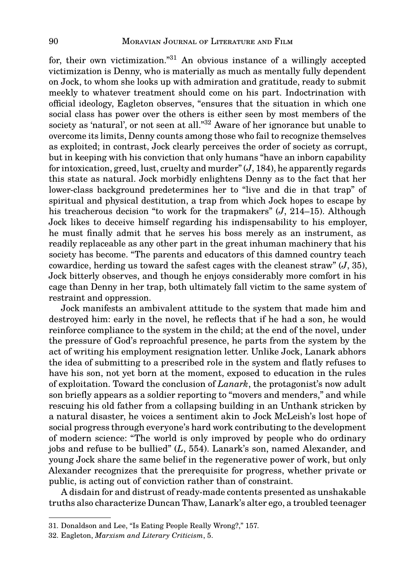for, their own victimization."<sup>31</sup> An obvious instance of a willingly accepted victimization is Denny, who is materially as much as mentally fully dependent on Jock, to whom she looks up with admiration and gratitude, ready to submit meekly to whatever treatment should come on his part. Indoctrination with official ideology, Eagleton observes, "ensures that the situation in which one social class has power over the others is either seen by most members of the society as 'natural', or not seen at all."<sup>32</sup> Aware of her ignorance but unable to overcome its limits, Denny counts among those who fail to recognize themselves as exploited; in contrast, Jock clearly perceives the order of society as corrupt, but in keeping with his conviction that only humans "have an inborn capability for intoxication, greed, lust, cruelty and murder" (*J*, 184), he apparently regards this state as natural. Jock morbidly enlightens Denny as to the fact that her lower-class background predetermines her to "live and die in that trap" of spiritual and physical destitution, a trap from which Jock hopes to escape by his treacherous decision "to work for the trapmakers" (*J*, 214–15). Although Jock likes to deceive himself regarding his indispensability to his employer, he must finally admit that he serves his boss merely as an instrument, as readily replaceable as any other part in the great inhuman machinery that his society has become. "The parents and educators of this damned country teach cowardice, herding us toward the safest cages with the cleanest straw" (*J*, 35), Jock bitterly observes, and though he enjoys considerably more comfort in his cage than Denny in her trap, both ultimately fall victim to the same system of restraint and oppression.

Jock manifests an ambivalent attitude to the system that made him and destroyed him: early in the novel, he reflects that if he had a son, he would reinforce compliance to the system in the child; at the end of the novel, under the pressure of God's reproachful presence, he parts from the system by the act of writing his employment resignation letter. Unlike Jock, Lanark abhors the idea of submitting to a prescribed role in the system and flatly refuses to have his son, not yet born at the moment, exposed to education in the rules of exploitation. Toward the conclusion of *Lanark*, the protagonist's now adult son briefly appears as a soldier reporting to "movers and menders," and while rescuing his old father from a collapsing building in an Unthank stricken by a natural disaster, he voices a sentiment akin to Jock McLeish's lost hope of social progress through everyone's hard work contributing to the development of modern science: "The world is only improved by people who do ordinary jobs and refuse to be bullied" (*L*, 554). Lanark's son, named Alexander, and young Jock share the same belief in the regenerative power of work, but only Alexander recognizes that the prerequisite for progress, whether private or public, is acting out of conviction rather than of constraint.

A disdain for and distrust of ready-made contents presented as unshakable truths also characterize Duncan Thaw, Lanark's alter ego, a troubled teenager

<sup>31.</sup> Donaldson and Lee, "Is Eating People Really Wrong?," 157.

<sup>32.</sup> Eagleton, *Marxism and Literary Criticism*, 5.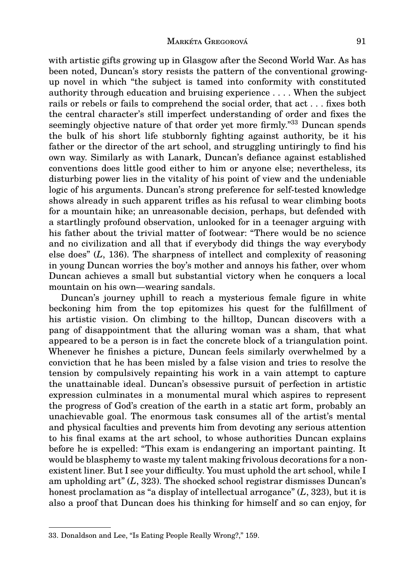with artistic gifts growing up in Glasgow after the Second World War. As has been noted, Duncan's story resists the pattern of the conventional growingup novel in which "the subject is tamed into conformity with constituted authority through education and bruising experience . . . . When the subject rails or rebels or fails to comprehend the social order, that act . . . fixes both the central character's still imperfect understanding of order and fixes the seemingly objective nature of that order yet more firmly.<sup>"33</sup> Duncan spends the bulk of his short life stubbornly fighting against authority, be it his father or the director of the art school, and struggling untiringly to find his own way. Similarly as with Lanark, Duncan's defiance against established conventions does little good either to him or anyone else; nevertheless, its disturbing power lies in the vitality of his point of view and the undeniable logic of his arguments. Duncan's strong preference for self-tested knowledge shows already in such apparent trifles as his refusal to wear climbing boots for a mountain hike; an unreasonable decision, perhaps, but defended with a startlingly profound observation, unlooked for in a teenager arguing with his father about the trivial matter of footwear: "There would be no science and no civilization and all that if everybody did things the way everybody else does" (*L*, 136). The sharpness of intellect and complexity of reasoning in young Duncan worries the boy's mother and annoys his father, over whom Duncan achieves a small but substantial victory when he conquers a local mountain on his own—wearing sandals.

Duncan's journey uphill to reach a mysterious female figure in white beckoning him from the top epitomizes his quest for the fulfillment of his artistic vision. On climbing to the hilltop, Duncan discovers with a pang of disappointment that the alluring woman was a sham, that what appeared to be a person is in fact the concrete block of a triangulation point. Whenever he finishes a picture, Duncan feels similarly overwhelmed by a conviction that he has been misled by a false vision and tries to resolve the tension by compulsively repainting his work in a vain attempt to capture the unattainable ideal. Duncan's obsessive pursuit of perfection in artistic expression culminates in a monumental mural which aspires to represent the progress of God's creation of the earth in a static art form, probably an unachievable goal. The enormous task consumes all of the artist's mental and physical faculties and prevents him from devoting any serious attention to his final exams at the art school, to whose authorities Duncan explains before he is expelled: "This exam is endangering an important painting. It would be blasphemy to waste my talent making frivolous decorations for a nonexistent liner. But I see your difficulty. You must uphold the art school, while I am upholding art" (*L*, 323). The shocked school registrar dismisses Duncan's honest proclamation as "a display of intellectual arrogance" (*L*, 323), but it is also a proof that Duncan does his thinking for himself and so can enjoy, for

<sup>33.</sup> Donaldson and Lee, "Is Eating People Really Wrong?," 159.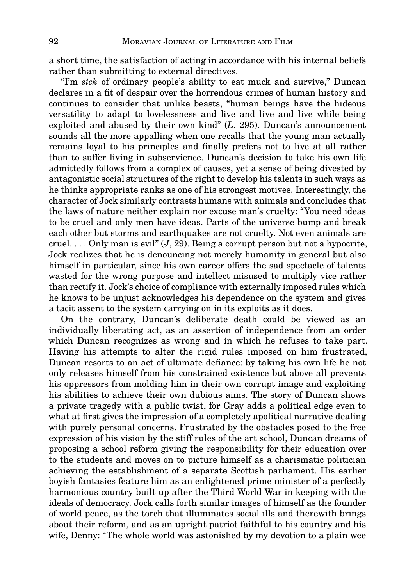a short time, the satisfaction of acting in accordance with his internal beliefs rather than submitting to external directives.

"I'm *sick* of ordinary people's ability to eat muck and survive," Duncan declares in a fit of despair over the horrendous crimes of human history and continues to consider that unlike beasts, "human beings have the hideous versatility to adapt to lovelessness and live and live and live while being exploited and abused by their own kind" (*L*, 295). Duncan's announcement sounds all the more appalling when one recalls that the young man actually remains loyal to his principles and finally prefers not to live at all rather than to suffer living in subservience. Duncan's decision to take his own life admittedly follows from a complex of causes, yet a sense of being divested by antagonistic social structures of the right to develop his talents in such ways as he thinks appropriate ranks as one of his strongest motives. Interestingly, the character of Jock similarly contrasts humans with animals and concludes that the laws of nature neither explain nor excuse man's cruelty: "You need ideas to be cruel and only men have ideas. Parts of the universe bump and break each other but storms and earthquakes are not cruelty. Not even animals are cruel.  $\ldots$  Only man is evil" (*J*, 29). Being a corrupt person but not a hypocrite, Jock realizes that he is denouncing not merely humanity in general but also himself in particular, since his own career offers the sad spectacle of talents wasted for the wrong purpose and intellect misused to multiply vice rather than rectify it. Jock's choice of compliance with externally imposed rules which he knows to be unjust acknowledges his dependence on the system and gives a tacit assent to the system carrying on in its exploits as it does.

On the contrary, Duncan's deliberate death could be viewed as an individually liberating act, as an assertion of independence from an order which Duncan recognizes as wrong and in which he refuses to take part. Having his attempts to alter the rigid rules imposed on him frustrated, Duncan resorts to an act of ultimate defiance: by taking his own life he not only releases himself from his constrained existence but above all prevents his oppressors from molding him in their own corrupt image and exploiting his abilities to achieve their own dubious aims. The story of Duncan shows a private tragedy with a public twist, for Gray adds a political edge even to what at first gives the impression of a completely apolitical narrative dealing with purely personal concerns. Frustrated by the obstacles posed to the free expression of his vision by the stiff rules of the art school, Duncan dreams of proposing a school reform giving the responsibility for their education over to the students and moves on to picture himself as a charismatic politician achieving the establishment of a separate Scottish parliament. His earlier boyish fantasies feature him as an enlightened prime minister of a perfectly harmonious country built up after the Third World War in keeping with the ideals of democracy. Jock calls forth similar images of himself as the founder of world peace, as the torch that illuminates social ills and therewith brings about their reform, and as an upright patriot faithful to his country and his wife, Denny: "The whole world was astonished by my devotion to a plain wee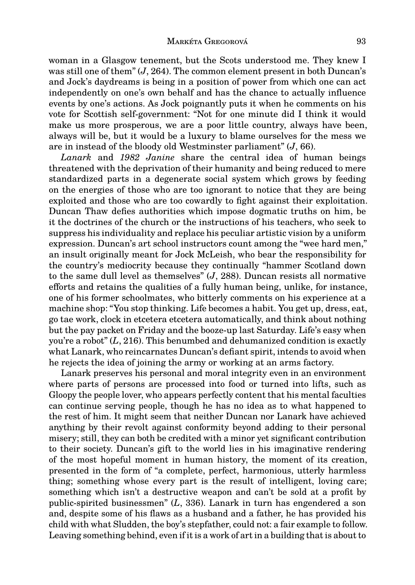woman in a Glasgow tenement, but the Scots understood me. They knew I was still one of them" (*J*, 264). The common element present in both Duncan's and Jock's daydreams is being in a position of power from which one can act independently on one's own behalf and has the chance to actually influence events by one's actions. As Jock poignantly puts it when he comments on his vote for Scottish self-government: "Not for one minute did I think it would make us more prosperous, we are a poor little country, always have been, always will be, but it would be a luxury to blame ourselves for the mess we are in instead of the bloody old Westminster parliament" (*J*, 66).

*Lanark* and *1982 Janine* share the central idea of human beings threatened with the deprivation of their humanity and being reduced to mere standardized parts in a degenerate social system which grows by feeding on the energies of those who are too ignorant to notice that they are being exploited and those who are too cowardly to fight against their exploitation. Duncan Thaw defies authorities which impose dogmatic truths on him, be it the doctrines of the church or the instructions of his teachers, who seek to suppress his individuality and replace his peculiar artistic vision by a uniform expression. Duncan's art school instructors count among the "wee hard men," an insult originally meant for Jock McLeish, who bear the responsibility for the country's mediocrity because they continually "hammer Scotland down to the same dull level as themselves" (*J*, 288). Duncan resists all normative efforts and retains the qualities of a fully human being, unlike, for instance, one of his former schoolmates, who bitterly comments on his experience at a machine shop: "You stop thinking. Life becomes a habit. You get up, dress, eat, go tae work, clock in etcetera etcetera automatically, and think about nothing but the pay packet on Friday and the booze-up last Saturday. Life's easy when you're a robot" (*L*, 216). This benumbed and dehumanized condition is exactly what Lanark, who reincarnates Duncan's defiant spirit, intends to avoid when he rejects the idea of joining the army or working at an arms factory.

Lanark preserves his personal and moral integrity even in an environment where parts of persons are processed into food or turned into lifts, such as Gloopy the people lover, who appears perfectly content that his mental faculties can continue serving people, though he has no idea as to what happened to the rest of him. It might seem that neither Duncan nor Lanark have achieved anything by their revolt against conformity beyond adding to their personal misery; still, they can both be credited with a minor yet significant contribution to their society. Duncan's gift to the world lies in his imaginative rendering of the most hopeful moment in human history, the moment of its creation, presented in the form of "a complete, perfect, harmonious, utterly harmless thing; something whose every part is the result of intelligent, loving care; something which isn't a destructive weapon and can't be sold at a profit by public-spirited businessmen" (*L*, 336). Lanark in turn has engendered a son and, despite some of his flaws as a husband and a father, he has provided his child with what Sludden, the boy's stepfather, could not: a fair example to follow. Leaving something behind, even if it is a work of art in a building that is about to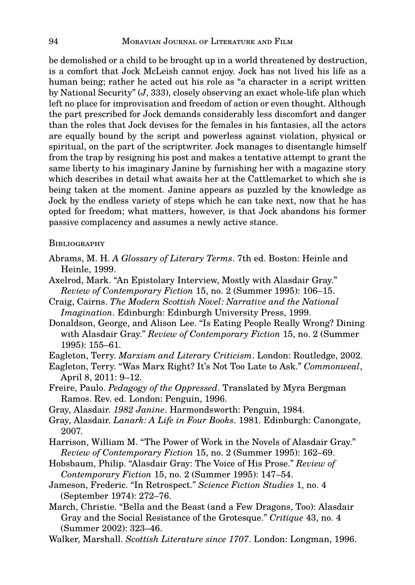be demolished or a child to be brought up in a world threatened by destruction, is a comfort that Jock McLeish cannot enjoy. Jock has not lived his life as a human being; rather he acted out his role as "a character in a script written by National Security" (*J*, 333), closely observing an exact whole-life plan which left no place for improvisation and freedom of action or even thought. Although the part prescribed for Jock demands considerably less discomfort and danger than the roles that Jock devises for the females in his fantasies, all the actors are equally bound by the script and powerless against violation, physical or spiritual, on the part of the scriptwriter. Jock manages to disentangle himself from the trap by resigning his post and makes a tentative attempt to grant the same liberty to his imaginary Janine by furnishing her with a magazine story which describes in detail what awaits her at the Cattlemarket to which she is being taken at the moment. Janine appears as puzzled by the knowledge as Jock by the endless variety of steps which he can take next, now that he has opted for freedom; what matters, however, is that Jock abandons his former passive complacency and assumes a newly active stance.

#### **BIBLIOGRAPHY**

- Abrams, M. H. *A Glossary of Literary Terms*. 7th ed. Boston: Heinle and Heinle, 1999.
- Axelrod, Mark. "An Epistolary Interview, Mostly with Alasdair Gray." *Review of Contemporary Fiction* 15, no. 2 (Summer 1995): 106–15.
- Craig, Cairns. *The Modern Scottish Novel: Narrative and the National Imagination*. Edinburgh: Edinburgh University Press, 1999.
- Donaldson, George, and Alison Lee. "Is Eating People Really Wrong? Dining with Alasdair Gray." *Review of Contemporary Fiction* 15, no. 2 (Summer 1995): 155–61.
- Eagleton, Terry. *Marxism and Literary Criticism*. London: Routledge, 2002.
- Eagleton, Terry. "Was Marx Right? It's Not Too Late to Ask." *Commonweal*, April 8, 2011: 9–12.
- Freire, Paulo. *Pedagogy of the Oppressed*. Translated by Myra Bergman Ramos. Rev. ed. London: Penguin, 1996.
- Gray, Alasdair. *1982 Janine*. Harmondsworth: Penguin, 1984.
- Gray, Alasdair. *Lanark: A Life in Four Books*. 1981. Edinburgh: Canongate, 2007.
- Harrison, William M. "The Power of Work in the Novels of Alasdair Gray." *Review of Contemporary Fiction* 15, no. 2 (Summer 1995): 162–69.
- Hobsbaum, Philip. "Alasdair Gray: The Voice of His Prose." *Review of Contemporary Fiction* 15, no. 2 (Summer 1995): 147–54.
- Jameson, Frederic. "In Retrospect." *Science Fiction Studies* 1, no. 4 (September 1974): 272–76.
- March, Christie. "Bella and the Beast (and a Few Dragons, Too): Alasdair Gray and the Social Resistance of the Grotesque." *Critique* 43, no. 4 (Summer 2002): 323–46.
- Walker, Marshall. *Scottish Literature since 1707*. London: Longman, 1996.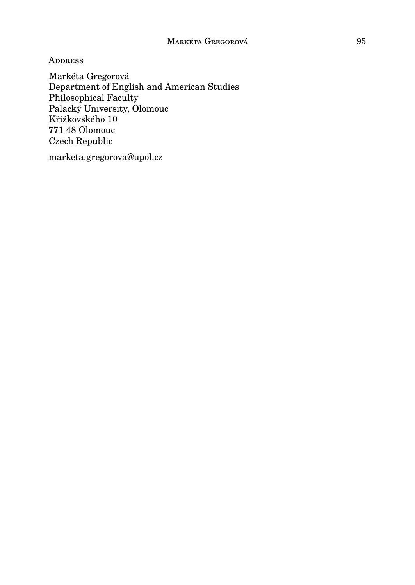**ADDRESS** 

Markéta Gregorová Department of English and American Studies Philosophical Faculty Palacký University, Olomouc Křížkovského 10 771 48 Olomouc Czech Republic

marketa.gregorova@upol.cz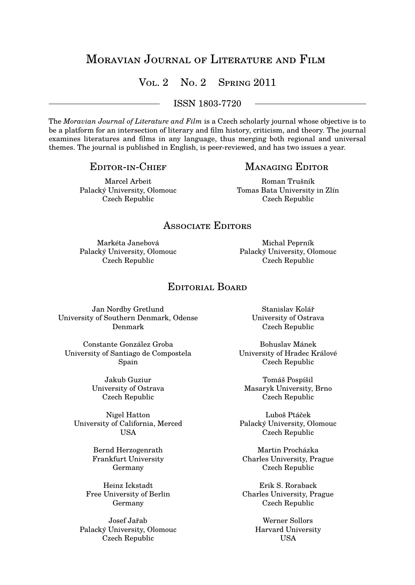# Moravian Journal of Literature and Film

Vol. 2 No. 2 Spring 2011

ISSN 1803-7720

The *Moravian Journal of Literature and Film* is a Czech scholarly journal whose objective is to be a platform for an intersection of literary and film history, criticism, and theory. The journal examines literatures and films in any language, thus merging both regional and universal themes. The journal is published in English, is peer-reviewed, and has two issues a year.

#### EDITOR-IN-CHIEF MANAGING EDITOR

Marcel Arbeit Palacký University, Olomouc Czech Republic

Roman Trušník Tomas Bata University in Zlín Czech Republic

## ASSOCIATE EDITORS

Markéta Janebová Palacký University, Olomouc Czech Republic

Michal Peprník Palacký University, Olomouc Czech Republic

### EDITORIAL BOARD

Jan Nordby Gretlund University of Southern Denmark, Odense Denmark

Constante González Groba University of Santiago de Compostela Spain

> Jakub Guziur University of Ostrava Czech Republic

Nigel Hatton University of California, Merced **IISA** 

> Bernd Herzogenrath Frankfurt University Germany

Heinz Ickstadt Free University of Berlin Germany

Josef Jařab Palacký University, Olomouc Czech Republic

Stanislav Kolář University of Ostrava Czech Republic

Bohuslav Mánek University of Hradec Králové Czech Republic

Tomáš Pospíšil Masaryk University, Brno Czech Republic

Luboš Ptáček Palacký University, Olomouc Czech Republic

Martin Procházka Charles University, Prague Czech Republic

Erik S. Roraback Charles University, Prague Czech Republic

> Werner Sollors Harvard University USA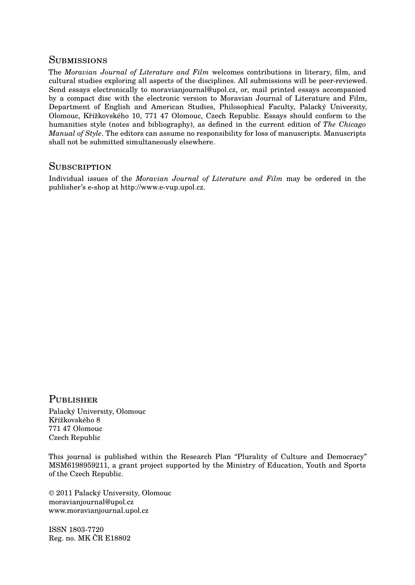#### **SUBMISSIONS**

The *Moravian Journal of Literature and Film* welcomes contributions in literary, film, and cultural studies exploring all aspects of the disciplines. All submissions will be peer-reviewed. Send essays electronically to moravianjournal@upol.cz, or, mail printed essays accompanied by a compact disc with the electronic version to Moravian Journal of Literature and Film, Department of English and American Studies, Philosophical Faculty, Palacký University, Olomouc, Křížkovského 10, 771 47 Olomouc, Czech Republic. Essays should conform to the humanities style (notes and bibliography), as defined in the current edition of *The Chicago Manual of Style*. The editors can assume no responsibility for loss of manuscripts. Manuscripts shall not be submitted simultaneously elsewhere.

### **SUBSCRIPTION**

Individual issues of the *Moravian Journal of Literature and Film* may be ordered in the publisher's e-shop at http://www.e-vup.upol.cz.

## PUBLISHER

Palacký University, Olomouc Křížkovského 8 771 47 Olomouc Czech Republic

This journal is published within the Research Plan "Plurality of Culture and Democracy" MSM6198959211, a grant project supported by the Ministry of Education, Youth and Sports of the Czech Republic.

© 2011 Palacký University, Olomouc moravianjournal@upol.cz www.moravianjournal.upol.cz

ISSN 1803-7720 Reg. no. MK ČR E18802